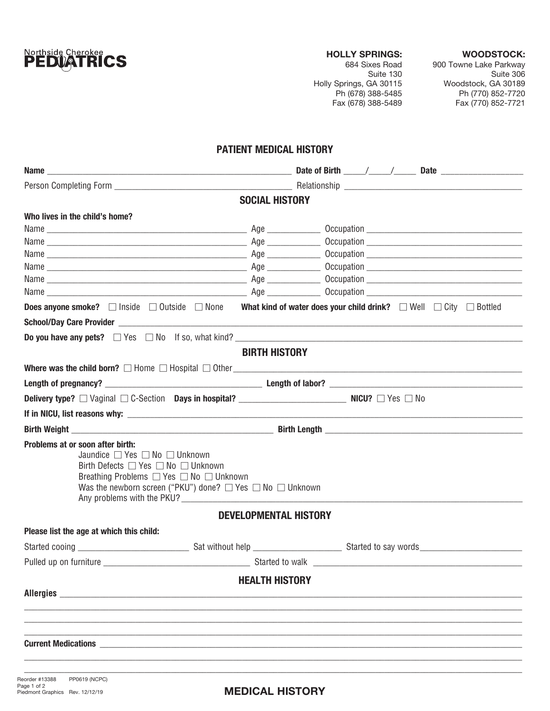

### HOLLY SPRINGS:

## WOODSTOCK:

684 Sixes Road Suite 130 Holly Springs, GA 30115 Ph (678) 388-5485 Fax (678) 388-5489 900 Towne Lake Parkway Suite 306 Woodstock, GA 30189 Ph (770) 852-7720 Fax (770) 852-7721

# PATIENT MEDICAL HISTORY

| <b>SOCIAL HISTORY</b>                                                                                                                                                                                                                                                                      |                                                                                                                                                     |  |  |  |  |  |  |
|--------------------------------------------------------------------------------------------------------------------------------------------------------------------------------------------------------------------------------------------------------------------------------------------|-----------------------------------------------------------------------------------------------------------------------------------------------------|--|--|--|--|--|--|
| Who lives in the child's home?                                                                                                                                                                                                                                                             |                                                                                                                                                     |  |  |  |  |  |  |
|                                                                                                                                                                                                                                                                                            |                                                                                                                                                     |  |  |  |  |  |  |
|                                                                                                                                                                                                                                                                                            |                                                                                                                                                     |  |  |  |  |  |  |
|                                                                                                                                                                                                                                                                                            |                                                                                                                                                     |  |  |  |  |  |  |
|                                                                                                                                                                                                                                                                                            |                                                                                                                                                     |  |  |  |  |  |  |
|                                                                                                                                                                                                                                                                                            |                                                                                                                                                     |  |  |  |  |  |  |
|                                                                                                                                                                                                                                                                                            |                                                                                                                                                     |  |  |  |  |  |  |
|                                                                                                                                                                                                                                                                                            | <b>Does anyone smoke?</b> $\Box$ Inside $\Box$ Outside $\Box$ None What kind of water does your child drink? $\Box$ Well $\Box$ City $\Box$ Bottled |  |  |  |  |  |  |
|                                                                                                                                                                                                                                                                                            |                                                                                                                                                     |  |  |  |  |  |  |
|                                                                                                                                                                                                                                                                                            | <b>Do you have any pets?</b> $\Box$ Yes $\Box$ No If so, what kind?                                                                                 |  |  |  |  |  |  |
|                                                                                                                                                                                                                                                                                            | <b>BIRTH HISTORY</b>                                                                                                                                |  |  |  |  |  |  |
|                                                                                                                                                                                                                                                                                            |                                                                                                                                                     |  |  |  |  |  |  |
|                                                                                                                                                                                                                                                                                            |                                                                                                                                                     |  |  |  |  |  |  |
|                                                                                                                                                                                                                                                                                            |                                                                                                                                                     |  |  |  |  |  |  |
|                                                                                                                                                                                                                                                                                            |                                                                                                                                                     |  |  |  |  |  |  |
|                                                                                                                                                                                                                                                                                            |                                                                                                                                                     |  |  |  |  |  |  |
| Problems at or soon after birth:<br>Jaundice $\Box$ Yes $\Box$ No $\Box$ Unknown<br>Birth Defects $\Box$ Yes $\Box$ No $\Box$ Unknown<br>Breathing Problems □ Yes □ No □ Unknown<br>Was the newborn screen ("PKU") done? $\Box$ Yes $\Box$ No $\Box$ Unknown<br>Any problems with the PKU? |                                                                                                                                                     |  |  |  |  |  |  |
|                                                                                                                                                                                                                                                                                            | DEVELOPMENTAL HISTORY                                                                                                                               |  |  |  |  |  |  |
| Please list the age at which this child:                                                                                                                                                                                                                                                   |                                                                                                                                                     |  |  |  |  |  |  |
|                                                                                                                                                                                                                                                                                            |                                                                                                                                                     |  |  |  |  |  |  |
| Pulled up on furniture                                                                                                                                                                                                                                                                     | Started to walk                                                                                                                                     |  |  |  |  |  |  |
|                                                                                                                                                                                                                                                                                            | <b>HEALTH HISTORY</b>                                                                                                                               |  |  |  |  |  |  |
| <b>Allergies</b>                                                                                                                                                                                                                                                                           |                                                                                                                                                     |  |  |  |  |  |  |
|                                                                                                                                                                                                                                                                                            |                                                                                                                                                     |  |  |  |  |  |  |
|                                                                                                                                                                                                                                                                                            |                                                                                                                                                     |  |  |  |  |  |  |
|                                                                                                                                                                                                                                                                                            |                                                                                                                                                     |  |  |  |  |  |  |
| <b>Current Medications</b>                                                                                                                                                                                                                                                                 |                                                                                                                                                     |  |  |  |  |  |  |
|                                                                                                                                                                                                                                                                                            |                                                                                                                                                     |  |  |  |  |  |  |
|                                                                                                                                                                                                                                                                                            |                                                                                                                                                     |  |  |  |  |  |  |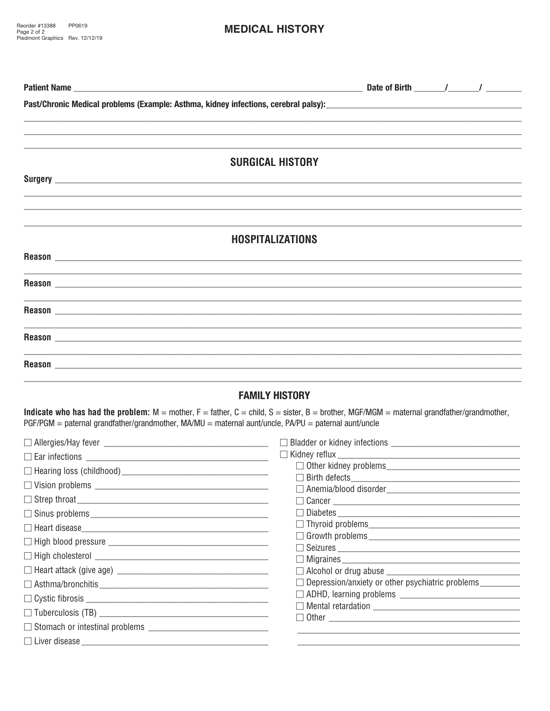## **MEDICAL HISTORY**

| Past/Chronic Medical problems (Example: Asthma, kidney infections, cerebral palsy):<br>and also password palso process and annual particle in the matter of the matter of the matter of the matter o                                                                                                                                                                                                                                                                                                                          |                                                         |  |  |  |  |  |  |
|-------------------------------------------------------------------------------------------------------------------------------------------------------------------------------------------------------------------------------------------------------------------------------------------------------------------------------------------------------------------------------------------------------------------------------------------------------------------------------------------------------------------------------|---------------------------------------------------------|--|--|--|--|--|--|
|                                                                                                                                                                                                                                                                                                                                                                                                                                                                                                                               |                                                         |  |  |  |  |  |  |
|                                                                                                                                                                                                                                                                                                                                                                                                                                                                                                                               |                                                         |  |  |  |  |  |  |
| <b>SURGICAL HISTORY</b>                                                                                                                                                                                                                                                                                                                                                                                                                                                                                                       |                                                         |  |  |  |  |  |  |
|                                                                                                                                                                                                                                                                                                                                                                                                                                                                                                                               |                                                         |  |  |  |  |  |  |
|                                                                                                                                                                                                                                                                                                                                                                                                                                                                                                                               |                                                         |  |  |  |  |  |  |
|                                                                                                                                                                                                                                                                                                                                                                                                                                                                                                                               |                                                         |  |  |  |  |  |  |
| <b>HOSPITALIZATIONS</b>                                                                                                                                                                                                                                                                                                                                                                                                                                                                                                       |                                                         |  |  |  |  |  |  |
|                                                                                                                                                                                                                                                                                                                                                                                                                                                                                                                               |                                                         |  |  |  |  |  |  |
|                                                                                                                                                                                                                                                                                                                                                                                                                                                                                                                               |                                                         |  |  |  |  |  |  |
|                                                                                                                                                                                                                                                                                                                                                                                                                                                                                                                               |                                                         |  |  |  |  |  |  |
|                                                                                                                                                                                                                                                                                                                                                                                                                                                                                                                               |                                                         |  |  |  |  |  |  |
|                                                                                                                                                                                                                                                                                                                                                                                                                                                                                                                               |                                                         |  |  |  |  |  |  |
|                                                                                                                                                                                                                                                                                                                                                                                                                                                                                                                               |                                                         |  |  |  |  |  |  |
|                                                                                                                                                                                                                                                                                                                                                                                                                                                                                                                               | <b>FAMILY HISTORY</b>                                   |  |  |  |  |  |  |
| <b>Indicate who has had the problem:</b> $M =$ mother, $F =$ father, $C =$ child, $S =$ sister, $B =$ brother, $MGF/MGM =$ maternal grandfather/grandmother,<br>$PGF/PGM =$ paternal grandfather/grandmother, $MA/MU =$ maternal aunt/uncle, $PA/PU =$ paternal aunt/uncle                                                                                                                                                                                                                                                    |                                                         |  |  |  |  |  |  |
|                                                                                                                                                                                                                                                                                                                                                                                                                                                                                                                               |                                                         |  |  |  |  |  |  |
|                                                                                                                                                                                                                                                                                                                                                                                                                                                                                                                               |                                                         |  |  |  |  |  |  |
|                                                                                                                                                                                                                                                                                                                                                                                                                                                                                                                               |                                                         |  |  |  |  |  |  |
|                                                                                                                                                                                                                                                                                                                                                                                                                                                                                                                               | $\Box$ Birth defects                                    |  |  |  |  |  |  |
|                                                                                                                                                                                                                                                                                                                                                                                                                                                                                                                               |                                                         |  |  |  |  |  |  |
|                                                                                                                                                                                                                                                                                                                                                                                                                                                                                                                               |                                                         |  |  |  |  |  |  |
|                                                                                                                                                                                                                                                                                                                                                                                                                                                                                                                               |                                                         |  |  |  |  |  |  |
|                                                                                                                                                                                                                                                                                                                                                                                                                                                                                                                               |                                                         |  |  |  |  |  |  |
| $\fbox{ High cholesterol } \fbox{ \underline{ \hspace{0.3cm} \underline{ \hspace{0.3cm} \underline{ \hspace{0.3cm} \underline{ \hspace{0.3cm} \underline{ \hspace{0.3cm} \underline{ \hspace{0.3cm} \underline{ \hspace{0.3cm} \underline{ \hspace{0.3cm} \underline{ \hspace{0.3cm} \underline{ \hspace{0.3cm} \underline{ \hspace{0.3cm} \underline{ \hspace{0.3cm} \underline{ \hspace{0.3cm} \underline{ \hspace{0.3cm} \underline{ \hspace{0.3cm} \underline{ \hspace{0.3cm} \underline{ \hspace{0.3cm} \underline{ \hs$ | $\Box$ Seizures $\_\_$                                  |  |  |  |  |  |  |
| □ Heart attack (give age) <u>___________________________________</u>                                                                                                                                                                                                                                                                                                                                                                                                                                                          | $\Box$ Alcohol or drug abuse                            |  |  |  |  |  |  |
|                                                                                                                                                                                                                                                                                                                                                                                                                                                                                                                               | □ Depression/anxiety or other psychiatric problems<br>□ |  |  |  |  |  |  |
|                                                                                                                                                                                                                                                                                                                                                                                                                                                                                                                               |                                                         |  |  |  |  |  |  |
|                                                                                                                                                                                                                                                                                                                                                                                                                                                                                                                               |                                                         |  |  |  |  |  |  |
|                                                                                                                                                                                                                                                                                                                                                                                                                                                                                                                               |                                                         |  |  |  |  |  |  |

i.